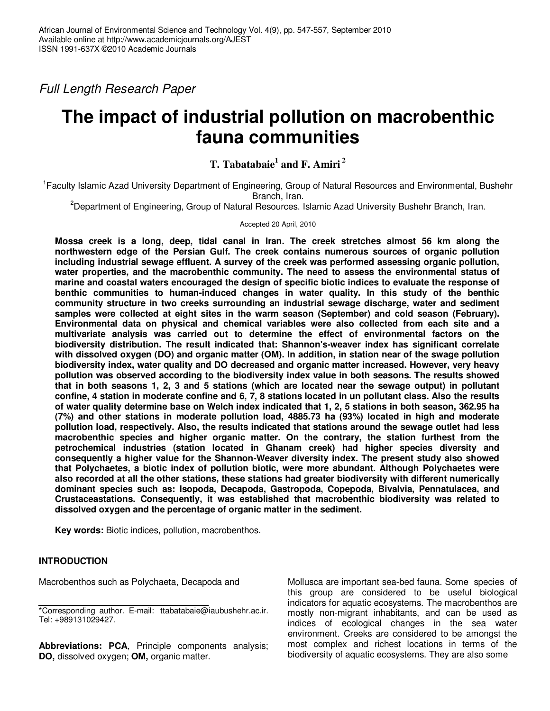Full Length Research Paper

# **The impact of industrial pollution on macrobenthic fauna communities**

# **T. Tabatabaie<sup>1</sup> and F. Amiri<sup>2</sup>**

<sup>1</sup> Faculty Islamic Azad University Department of Engineering, Group of Natural Resources and Environmental, Bushehr Branch, Iran.

<sup>2</sup>Department of Engineering, Group of Natural Resources. Islamic Azad University Bushehr Branch, Iran.

# Accepted 20 April, 2010

**Mossa creek is a long, deep, tidal canal in Iran. The creek stretches almost 56 km along the northwestern edge of the Persian Gulf. The creek contains numerous sources of organic pollution including industrial sewage effluent. A survey of the creek was performed assessing organic pollution, water properties, and the macrobenthic community. The need to assess the environmental status of marine and coastal waters encouraged the design of specific biotic indices to evaluate the response of benthic communities to human-induced changes in water quality. In this study of the benthic community structure in two creeks surrounding an industrial sewage discharge, water and sediment samples were collected at eight sites in the warm season (September) and cold season (February). Environmental data on physical and chemical variables were also collected from each site and a multivariate analysis was carried out to determine the effect of environmental factors on the biodiversity distribution. The result indicated that: Shannon's-weaver index has significant correlate with dissolved oxygen (DO) and organic matter (OM). In addition, in station near of the swage pollution biodiversity index, water quality and DO decreased and organic matter increased. However, very heavy pollution was observed according to the biodiversity index value in both seasons. The results showed that in both seasons 1, 2, 3 and 5 stations (which are located near the sewage output) in pollutant confine, 4 station in moderate confine and 6, 7, 8 stations located in un pollutant class. Also the results of water quality determine base on Welch index indicated that 1, 2, 5 stations in both season, 362.95 ha (7%) and other stations in moderate pollution load, 4885.73 ha (93%) located in high and moderate pollution load, respectively. Also, the results indicated that stations around the sewage outlet had less macrobenthic species and higher organic matter. On the contrary, the station furthest from the petrochemical industries (station located in Ghanam creek) had higher species diversity and consequently a higher value for the Shannon-Weaver diversity index. The present study also showed that Polychaetes, a biotic index of pollution biotic, were more abundant. Although Polychaetes were also recorded at all the other stations, these stations had greater biodiversity with different numerically dominant species such as: Isopoda, Decapoda, Gastropoda, Copepoda, Bivalvia, Pennatulacea, and Crustaceastations. Consequently, it was established that macrobenthic biodiversity was related to dissolved oxygen and the percentage of organic matter in the sediment.**

**Key words:** Biotic indices, pollution, macrobenthos.

# **INTRODUCTION**

Macrobenthos such as Polychaeta, Decapoda and

**Abbreviations: PCA**, Principle components analysis; **DO,** dissolved oxygen; **OM,** organic matter.

Mollusca are important sea-bed fauna. Some species of this group are considered to be useful biological indicators for aquatic ecosystems. The macrobenthos are mostly non-migrant inhabitants, and can be used as indices of ecological changes in the sea water environment. Creeks are considered to be amongst the most complex and richest locations in terms of the biodiversity of aquatic ecosystems. They are also some

<sup>\*</sup>Corresponding author. E-mail: ttabatabaie@iaubushehr.ac.ir. Tel: +989131029427.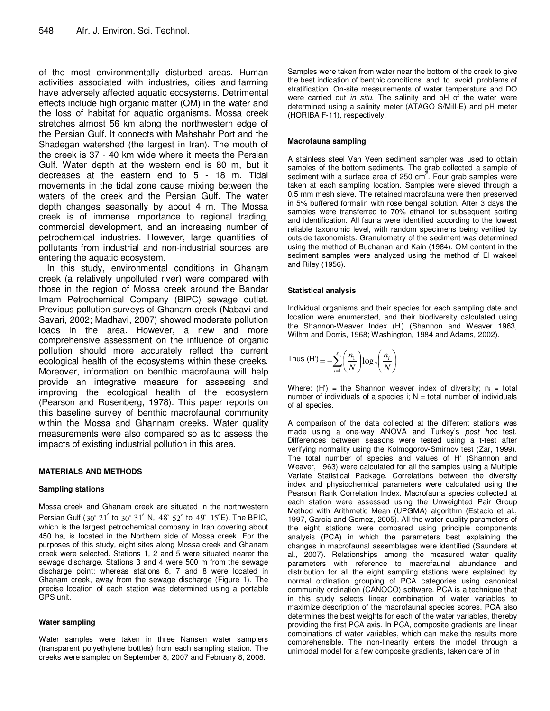of the most environmentally disturbed areas. Human activities associated with industries, cities and farming have adversely affected aquatic ecosystems. Detrimental effects include high organic matter (OM) in the water and the loss of habitat for aquatic organisms. Mossa creek stretches almost 56 km along the northwestern edge of the Persian Gulf. It connects with Mahshahr Port and the Shadegan watershed (the largest in Iran). The mouth of the creek is 37 - 40 km wide where it meets the Persian Gulf. Water depth at the western end is 80 m, but it decreases at the eastern end to 5 - 18 m. Tidal movements in the tidal zone cause mixing between the waters of the creek and the Persian Gulf. The water depth changes seasonally by about 4 m. The Mossa creek is of immense importance to regional trading, commercial development, and an increasing number of petrochemical industries. However, large quantities of pollutants from industrial and non-industrial sources are entering the aquatic ecosystem.

In this study, environmental conditions in Ghanam creek (a relatively unpolluted river) were compared with those in the region of Mossa creek around the Bandar Imam Petrochemical Company (BIPC) sewage outlet. Previous pollution surveys of Ghanam creek (Nabavi and Savari, 2002; Madhavi, 2007) showed moderate pollution loads in the area. However, a new and more comprehensive assessment on the influence of organic pollution should more accurately reflect the current ecological health of the ecosystems within these creeks. Moreover, information on benthic macrofauna will help provide an integrative measure for assessing and improving the ecological health of the ecosystem (Pearson and Rosenberg, 1978). This paper reports on this baseline survey of benthic macrofaunal community within the Mossa and Ghannam creeks. Water quality measurements were also compared so as to assess the impacts of existing industrial pollution in this area.

#### **MATERIALS AND METHODS**

#### **Sampling stations**

Mossa creek and Ghanam creek are situated in the northwestern Persian Gulf  $(30^{\circ} 21'$  to  $30^{\circ} 31'$  N,  $48^{\circ} 52'$  to  $49^{\circ} 15'E$ ). The BPIC, which is the largest petrochemical company in Iran covering about 450 ha, is located in the Northern side of Mossa creek. For the purposes of this study, eight sites along Mossa creek and Ghanam creek were selected. Stations 1, 2 and 5 were situated nearer the sewage discharge. Stations 3 and 4 were 500 m from the sewage discharge point; whereas stations 6, 7 and 8 were located in Ghanam creek, away from the sewage discharge (Figure 1). The precise location of each station was determined using a portable GPS unit.

#### **Water sampling**

Water samples were taken in three Nansen water samplers (transparent polyethylene bottles) from each sampling station. The creeks were sampled on September 8, 2007 and February 8, 2008.

Samples were taken from water near the bottom of the creek to give the best indication of benthic conditions and to avoid problems of stratification. On-site measurements of water temperature and DO were carried out in situ. The salinity and pH of the water were determined using a salinity meter (ATAGO S/Mill-E) and pH meter (HORIBA F-11), respectively.

#### **Macrofauna sampling**

A stainless steel Van Veen sediment sampler was used to obtain samples of the bottom sediments. The grab collected a sample of sediment with a surface area of 250 cm<sup>2</sup>. Four grab samples were taken at each sampling location. Samples were sieved through a 0.5 mm mesh sieve. The retained macrofauna were then preserved in 5% buffered formalin with rose bengal solution. After 3 days the samples were transferred to 70% ethanol for subsequent sorting and identification. All fauna were identified according to the lowest reliable taxonomic level, with random specimens being verified by outside taxonomists. Granulometry of the sediment was determined using the method of Buchanan and Kain (1984). OM content in the sediment samples were analyzed using the method of El wakeel and Riley (1956).

#### **Statistical analysis**

Individual organisms and their species for each sampling date and location were enumerated, and their biodiversity calculated using the Shannon-Weaver Index (H' ) (Shannon and Weaver 1963, Wilhm and Dorris, 1968; Washington, 1984 and Adams, 2002).

Thus (H') = 
$$
-\sum_{i=1}^{s} \left(\frac{n_1}{N}\right) \log_2 \left(\frac{n_i}{N}\right)
$$

Where: (H') = the Shannon weaver index of diversity;  $n_i$  = total number of individuals of a species i;  $N =$  total number of individuals of all species.

A comparison of the data collected at the different stations was made using a one-way ANOVA and Turkey's post hoc test. Differences between seasons were tested using a t-test after verifying normality using the Kolmogorov-Smirnov test (Zar, 1999). The total number of species and values of H' (Shannon and Weaver, 1963) were calculated for all the samples using a Multiple Variate Statistical Package. Correlations between the diversity index and physiochemical parameters were calculated using the Pearson Rank Correlation Index. Macrofauna species collected at each station were assessed using the Unweighted Pair Group Method with Arithmetic Mean (UPGMA) algorithm (Estacio et al., 1997, Garcia and Gomez, 2005). All the water quality parameters of the eight stations were compared using principle components analysis (PCA) in which the parameters best explaining the changes in macrofaunal assemblages were identified (Saunders et al., 2007). Relationships among the measured water quality parameters with reference to macrofaunal abundance and distribution for all the eight sampling stations were explained by normal ordination grouping of PCA categories using canonical community ordination (CANOCO) software. PCA is a technique that in this study selects linear combination of water variables to maximize description of the macrofaunal species scores. PCA also determines the best weights for each of the water variables, thereby providing the first PCA axis. In PCA, composite gradients are linear combinations of water variables, which can make the results more comprehensible. The non-linearity enters the model through a unimodal model for a few composite gradients, taken care of in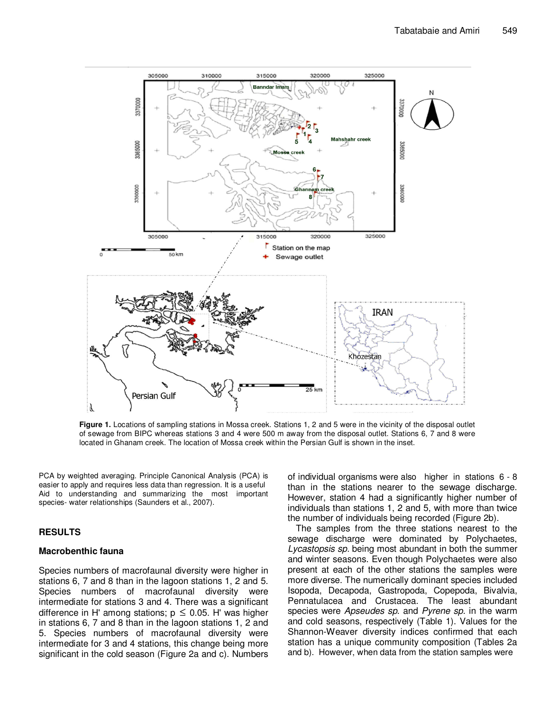

**Figure 1.** Locations of sampling stations in Mossa creek. Stations 1, 2 and 5 were in the vicinity of the disposal outlet of sewage from BIPC whereas stations 3 and 4 were 500 m away from the disposal outlet. Stations 6, 7 and 8 were located in Ghanam creek. The location of Mossa creek within the Persian Gulf is shown in the inset.

PCA by weighted averaging. Principle Canonical Analysis (PCA) is easier to apply and requires less data than regression. It is a useful Aid to understanding and summarizing the most important species- water relationships (Saunders et al., 2007).

## **RESULTS**

#### **Macrobenthic fauna**

Species numbers of macrofaunal diversity were higher in stations 6, 7 and 8 than in the lagoon stations 1, 2 and 5. Species numbers of macrofaunal diversity were intermediate for stations 3 and 4. There was a significant difference in H' among stations;  $p \le 0.05$ . H' was higher in stations 6, 7 and 8 than in the lagoon stations 1, 2 and 5. Species numbers of macrofaunal diversity were intermediate for 3 and 4 stations, this change being more significant in the cold season (Figure 2a and c). Numbers

of individual organisms were also higher in stations 6 - 8 than in the stations nearer to the sewage discharge. However, station 4 had a significantly higher number of individuals than stations 1, 2 and 5, with more than twice the number of individuals being recorded (Figure 2b).

The samples from the three stations nearest to the sewage discharge were dominated by Polychaetes, Lycastopsis sp. being most abundant in both the summer and winter seasons. Even though Polychaetes were also present at each of the other stations the samples were more diverse. The numerically dominant species included Isopoda, Decapoda, Gastropoda, Copepoda, Bivalvia, Pennatulacea and Crustacea. The least abundant species were Apseudes sp. and Pyrene sp. in the warm and cold seasons, respectively (Table 1). Values for the Shannon-Weaver diversity indices confirmed that each station has a unique community composition (Tables 2a and b). However, when data from the station samples were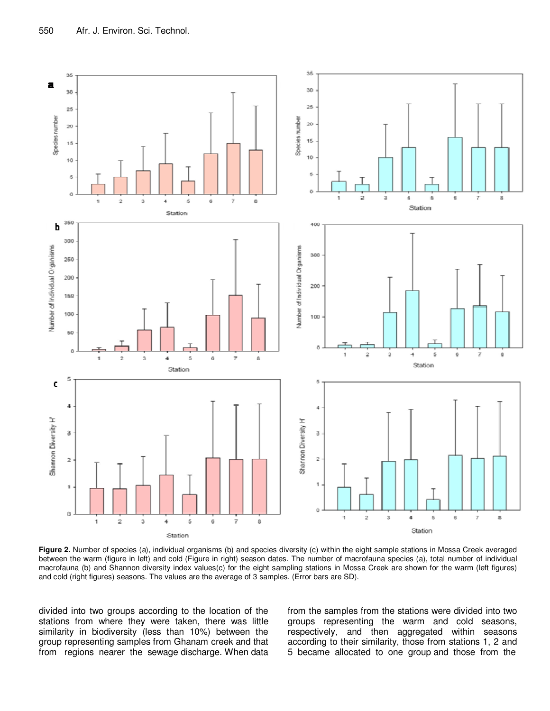

**Figure 2.** Number of species (a), individual organisms (b) and species diversity (c) within the eight sample stations in Mossa Creek averaged between the warm (figure in left) and cold (Figure in right) season dates. The number of macrofauna species (a), total number of individual macrofauna (b) and Shannon diversity index values(c) for the eight sampling stations in Mossa Creek are shown for the warm (left figures) and cold (right figures) seasons. The values are the average of 3 samples. (Error bars are SD).

divided into two groups according to the location of the stations from where they were taken, there was little similarity in biodiversity (less than 10%) between the group representing samples from Ghanam creek and that from regions nearer the sewage discharge. When data from the samples from the stations were divided into two groups representing the warm and cold seasons, respectively, and then aggregated within seasons according to their similarity, those from stations 1, 2 and 5 became allocated to one group and those from the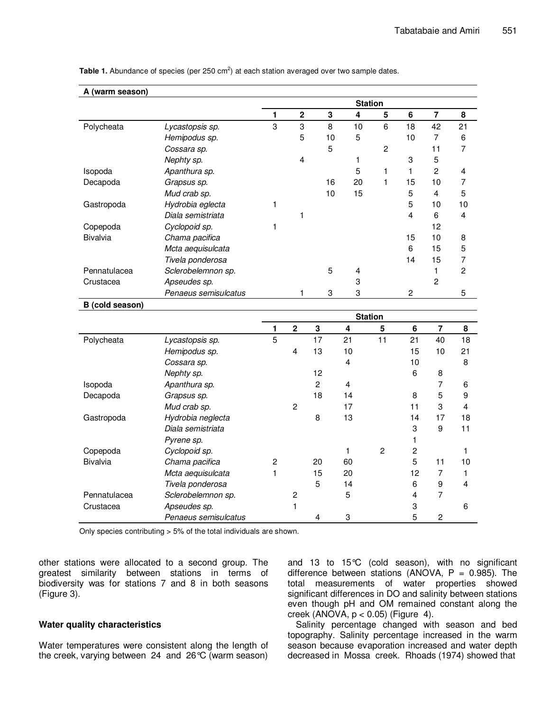| A (warm season) |                      | <b>Station</b> |                |                |                |                |                |                         |                |
|-----------------|----------------------|----------------|----------------|----------------|----------------|----------------|----------------|-------------------------|----------------|
|                 |                      | 1              | $\bf 2$        | 3              | 4              | 5              | 6              | $\overline{\mathbf{7}}$ | 8              |
| Polycheata      | Lycastopsis sp.      | 3              | 3              | 8              | 10             | 6              | 18             | 42                      | 21             |
|                 | Hemipodus sp.        |                | 5              | 10             | 5              |                | 10             | $\overline{7}$          | 6              |
|                 | Cossara sp.          |                |                | 5              |                | $\overline{c}$ |                | 11                      | 7              |
|                 | Nephty sp.           |                | 4              |                | 1              |                | 3              | 5                       |                |
| Isopoda         | Apanthura sp.        |                |                |                | 5              | 1              | 1              | $\overline{2}$          | 4              |
| Decapoda        | Grapsus sp.          |                |                | 16             | 20             | $\mathbf{1}$   | 15             | 10                      | 7              |
|                 | Mud crab sp.         |                |                | 10             | 15             |                | 5              | $\overline{4}$          | 5              |
| Gastropoda      | Hydrobia eglecta     | 1              |                |                |                |                | 5              | 10                      | 10             |
|                 | Diala semistriata    |                | 1              |                |                |                | 4              | 6                       | 4              |
| Copepoda        | Cyclopoid sp.        | 1              |                |                |                |                |                | 12                      |                |
| Bivalvia        | Chama pacifica       |                |                |                |                |                | 15             | 10                      | 8              |
|                 | Mcta aequisulcata    |                |                |                |                |                | 6              | 15                      | 5              |
|                 | Tivela ponderosa     |                |                |                |                |                | 14             | 15                      | $\overline{7}$ |
| Pennatulacea    | Sclerobelemnon sp.   |                |                | 5              | 4              |                |                | 1                       | $\overline{c}$ |
| Crustacea       | Apseudes sp.         |                |                |                | 3              |                |                | $\overline{2}$          |                |
|                 | Penaeus semisulcatus |                | 1              | 3              | 3              |                | $\overline{c}$ |                         | 5              |
| B (cold season) |                      |                |                |                |                |                |                |                         |                |
|                 |                      |                |                |                |                | <b>Station</b> |                |                         |                |
|                 |                      | 1              | $\mathbf 2$    | 3              | $\pmb{4}$      | 5              | $\bf 6$        | $\bf 7$                 | 8              |
| Polycheata      | Lycastopsis sp.      | 5              |                | 17             | 21             | 11             | 21             | 40                      | 18             |
|                 | Hemipodus sp.        |                | 4              | 13             | 10             |                | 15             | 10                      | 21             |
|                 | Cossara sp.          |                |                |                | 4              |                | 10             |                         | 8              |
|                 | Nephty sp.           |                |                | 12             |                |                | 6              | 8                       |                |
| Isopoda         | Apanthura sp.        |                |                | $\overline{c}$ | $\overline{4}$ |                |                | 7                       | 6              |
| Decapoda        | Grapsus sp.          |                |                | 18             | 14             |                | 8              | 5                       | 9              |
|                 | Mud crab sp.         |                | $\overline{c}$ |                | 17             |                | 11             | 3                       | 4              |
| Gastropoda      | Hydrobia neglecta    |                |                | 8              | 13             |                | 14             | 17                      | 18             |
|                 | Diala semistriata    |                |                |                |                |                | 3              | 9                       | 11             |
|                 | Pyrene sp.           |                |                |                |                |                | 1              |                         |                |
| Copepoda        | Cyclopoid sp.        |                |                |                | 1              | $\overline{2}$ | $\overline{c}$ |                         | 1              |
| Bivalvia        | Chama pacifica       | 2              |                | 20             | 60             |                | 5              | 11                      | 10             |
|                 | Mcta aequisulcata    | 1              |                | 15             | 20             |                | 12             | 7                       | 1              |
|                 | Tivela ponderosa     |                |                | 5              | 14             |                | 6              | 9                       | 4              |
| Pennatulacea    | Sclerobelemnon sp.   |                | $\overline{c}$ |                | 5              |                | 4              | 7                       |                |
| Crustacea       | Apseudes sp.         |                | 1              |                |                |                | 3              |                         | 6              |
|                 | Penaeus semisulcatus |                |                | 4              | 3              |                | 5              | $\mathbf{2}$            |                |

Table 1. Abundance of species (per 250 cm<sup>2</sup>) at each station averaged over two sample dates.

Only species contributing > 5% of the total individuals are shown.

other stations were allocated to a second group. The greatest similarity between stations in terms of biodiversity was for stations 7 and 8 in both seasons (Figure 3).

# **Water quality characteristics**

Water temperatures were consistent along the length of the creek, varying between 24 and 26°C (warm season) and 13 to 15°C (cold season), with no significant difference between stations (ANOVA,  $P = 0.985$ ). The total measurements of water properties showed significant differences in DO and salinity between stations even though pH and OM remained constant along the creek (ANOVA,  $p < 0.05$ ) (Figure 4).

Salinity percentage changed with season and bed topography. Salinity percentage increased in the warm season because evaporation increased and water depth decreased in Mossa creek. Rhoads (1974) showed that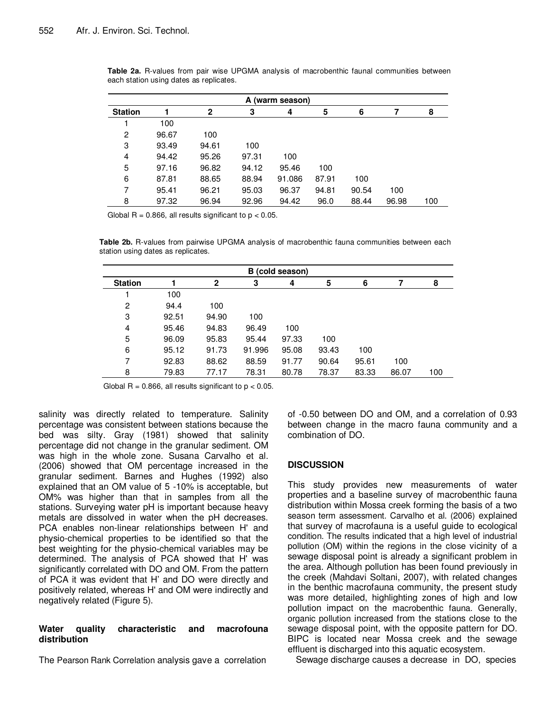| A (warm season) |       |       |       |        |       |       |       |     |  |
|-----------------|-------|-------|-------|--------|-------|-------|-------|-----|--|
| <b>Station</b>  |       | 2     | 3     | 4      | 5     | 6     | 7     | 8   |  |
|                 | 100   |       |       |        |       |       |       |     |  |
| 2               | 96.67 | 100   |       |        |       |       |       |     |  |
| 3               | 93.49 | 94.61 | 100   |        |       |       |       |     |  |
| 4               | 94.42 | 95.26 | 97.31 | 100    |       |       |       |     |  |
| 5               | 97.16 | 96.82 | 94.12 | 95.46  | 100   |       |       |     |  |
| 6               | 87.81 | 88.65 | 88.94 | 91.086 | 87.91 | 100   |       |     |  |
| 7               | 95.41 | 96.21 | 95.03 | 96.37  | 94.81 | 90.54 | 100   |     |  |
| 8               | 97.32 | 96.94 | 92.96 | 94.42  | 96.0  | 88.44 | 96.98 | 100 |  |

**Table 2a.** R-values from pair wise UPGMA analysis of macrobenthic faunal communities between each station using dates as replicates.

Global  $R = 0.866$ , all results significant to  $p < 0.05$ .

**Table 2b.** R-values from pairwise UPGMA analysis of macrobenthic fauna communities between each station using dates as replicates.

| B (cold season) |       |              |        |       |       |       |       |     |  |
|-----------------|-------|--------------|--------|-------|-------|-------|-------|-----|--|
| <b>Station</b>  |       | $\mathbf{2}$ | 3      | 4     | 5     | 6     |       | 8   |  |
|                 | 100   |              |        |       |       |       |       |     |  |
| 2               | 94.4  | 100          |        |       |       |       |       |     |  |
| 3               | 92.51 | 94.90        | 100    |       |       |       |       |     |  |
| 4               | 95.46 | 94.83        | 96.49  | 100   |       |       |       |     |  |
| 5               | 96.09 | 95.83        | 95.44  | 97.33 | 100   |       |       |     |  |
| 6               | 95.12 | 91.73        | 91.996 | 95.08 | 93.43 | 100   |       |     |  |
| 7               | 92.83 | 88.62        | 88.59  | 91.77 | 90.64 | 95.61 | 100   |     |  |
| 8               | 79.83 | 77.17        | 78.31  | 80.78 | 78.37 | 83.33 | 86.07 | 100 |  |

Global  $R = 0.866$ , all results significant to  $p < 0.05$ .

salinity was directly related to temperature. Salinity percentage was consistent between stations because the bed was silty. Gray (1981) showed that salinity percentage did not change in the granular sediment. OM was high in the whole zone. Susana Carvalho et al. (2006) showed that OM percentage increased in the granular sediment. Barnes and Hughes (1992) also explained that an OM value of 5 -10% is acceptable, but OM% was higher than that in samples from all the stations. Surveying water pH is important because heavy metals are dissolved in water when the pH decreases. PCA enables non-linear relationships between H' and physio-chemical properties to be identified so that the best weighting for the physio-chemical variables may be determined. The analysis of PCA showed that H' was significantly correlated with DO and OM. From the pattern of PCA it was evident that H' and DO were directly and positively related, whereas H' and OM were indirectly and negatively related (Figure 5).

# **Water quality characteristic and macrofouna distribution**

The Pearson Rank Correlation analysis gave a correlation

of -0.50 between DO and OM, and a correlation of 0.93 between change in the macro fauna community and a combination of DO.

# **DISCUSSION**

This study provides new measurements of water properties and a baseline survey of macrobenthic fauna distribution within Mossa creek forming the basis of a two season term assessment. Carvalho et al. (2006) explained that survey of macrofauna is a useful guide to ecological condition. The results indicated that a high level of industrial pollution (OM) within the regions in the close vicinity of a sewage disposal point is already a significant problem in the area. Although pollution has been found previously in the creek (Mahdavi Soltani, 2007), with related changes in the benthic macrofauna community, the present study was more detailed, highlighting zones of high and low pollution impact on the macrobenthic fauna. Generally, organic pollution increased from the stations close to the sewage disposal point, with the opposite pattern for DO. BIPC is located near Mossa creek and the sewage effluent is discharged into this aquatic ecosystem.

Sewage discharge causes a decrease in DO, species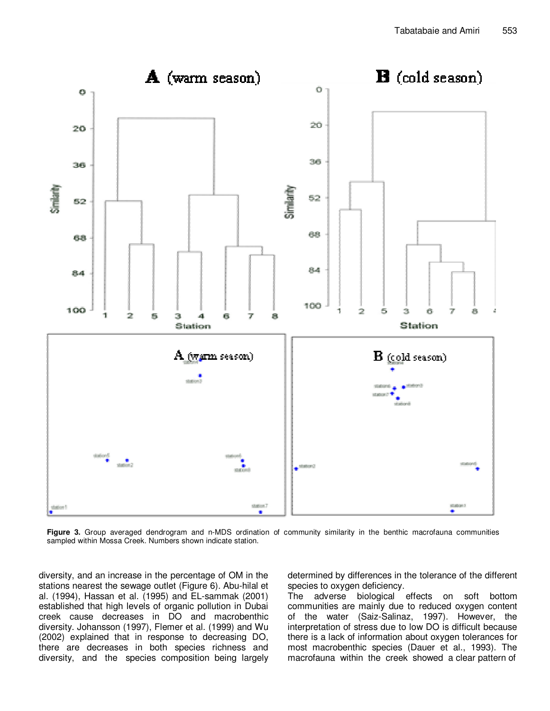

**Figure 3.** Group averaged dendrogram and n-MDS ordination of community similarity in the benthic macrofauna communities sampled within Mossa Creek. Numbers shown indicate station.

diversity, and an increase in the percentage of OM in the stations nearest the sewage outlet (Figure 6). Abu-hilal et al. (1994), Hassan et al. (1995) and EL-sammak (2001) established that high levels of organic pollution in Dubai creek cause decreases in DO and macrobenthic diversity. Johansson (1997), Flemer et al. (1999) and Wu (2002) explained that in response to decreasing DO, there are decreases in both species richness and diversity, and the species composition being largely determined by differences in the tolerance of the different species to oxygen deficiency.

The adverse biological effects on soft bottom communities are mainly due to reduced oxygen content of the water (Saiz-Salinaz, 1997). However, the interpretation of stress due to low DO is difficult because there is a lack of information about oxygen tolerances for most macrobenthic species (Dauer et al., 1993). The macrofauna within the creek showed a clear pattern of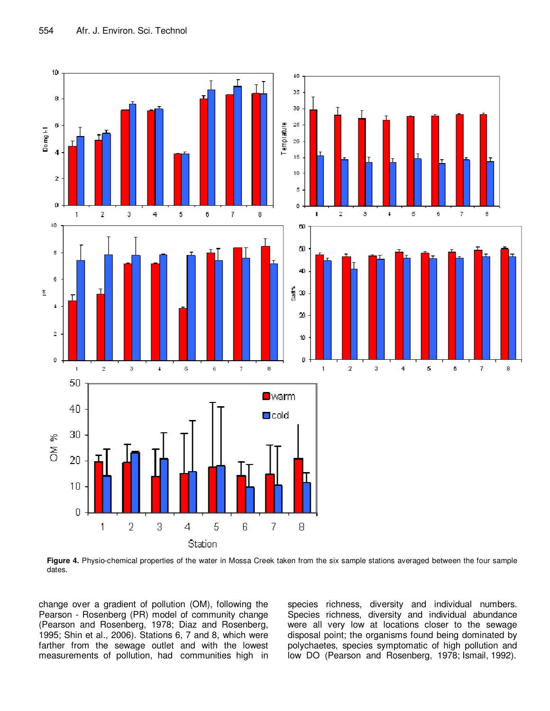

**Figure 4.** Physio-chemical properties of the water in Mossa Creek taken from the six sample stations averaged between the four sample dates.

change over a gradient of pollution (OM), following the Pearson - Rosenberg (PR) model of community change (Pearson and Rosenberg, 1978; Diaz and Rosenberg, 1995; Shin et al., 2006). Stations 6, 7 and 8, which were farther from the sewage outlet and with the lowest measurements of pollution, had communities high in species richness, diversity and individual numbers. Species richness, diversity and individual abundance were all very low at locations closer to the sewage disposal point; the organisms found being dominated by polychaetes, species symptomatic of high pollution and low DO (Pearson and Rosenberg, 1978; Ismail, 1992).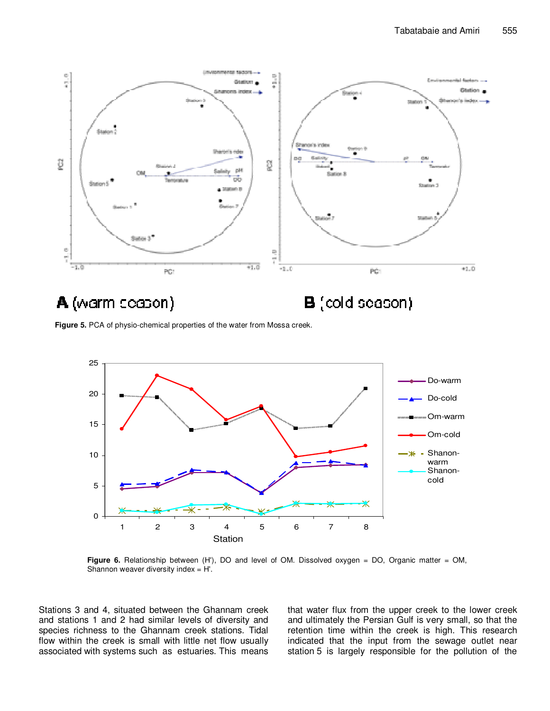

**Figure 5.** PCA of physio-chemical properties of the water from Mossa creek.



**Figure 6.** Relationship between (H'), DO and level of OM. Dissolved oxygen = DO, Organic matter = OM, Shannon weaver diversity index = H'.

Stations 3 and 4, situated between the Ghannam creek and stations 1 and 2 had similar levels of diversity and species richness to the Ghannam creek stations. Tidal flow within the creek is small with little net flow usually associated with systems such as estuaries. This means that water flux from the upper creek to the lower creek and ultimately the Persian Gulf is very small, so that the retention time within the creek is high. This research indicated that the input from the sewage outlet near station 5 is largely responsible for the pollution of the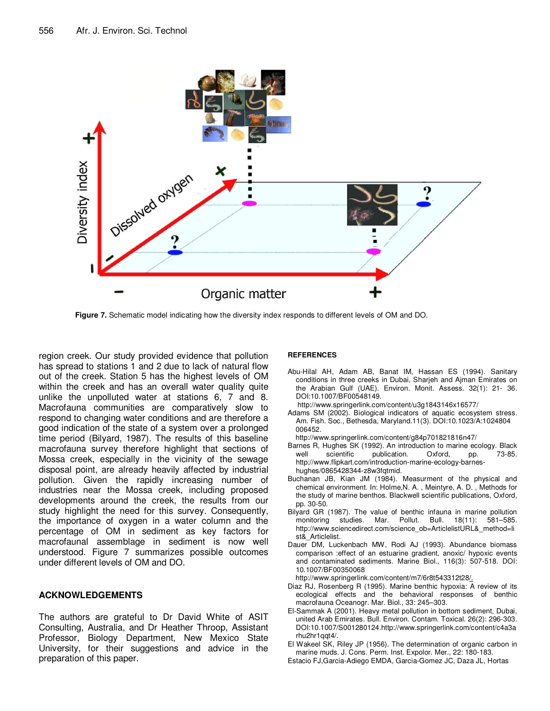

**Figure 7.** Schematic model indicating how the diversity index responds to different levels of OM and DO.

region creek. Our study provided evidence that pollution has spread to stations 1 and 2 due to lack of natural flow out of the creek. Station 5 has the highest levels of OM within the creek and has an overall water quality quite unlike the unpolluted water at stations 6, 7 and 8. Macrofauna communities are comparatively slow to respond to changing water conditions and are therefore a good indication of the state of a system over a prolonged time period (Bilyard, 1987). The results of this baseline macrofauna survey therefore highlight that sections of Mossa creek, especially in the vicinity of the sewage disposal point, are already heavily affected by industrial pollution. Given the rapidly increasing number of industries near the Mossa creek, including proposed developments around the creek, the results from our study highlight the need for this survey. Consequently, the importance of oxygen in a water column and the percentage of OM in sediment as key factors for macrofaunal assemblage in sediment is now well understood. Figure 7 summarizes possible outcomes under different levels of OM and DO.

# **ACKNOWLEDGEMENTS**

The authors are grateful to Dr David White of ASIT Consulting, Australia, and Dr Heather Throop, Assistant Professor, Biology Department, New Mexico State University, for their suggestions and advice in the preparation of this paper.

#### **REFERENCES**

- Abu-Hilal AH, Adam AB, Banat IM, Hassan ES (1994). Sanitary conditions in three creeks in Dubai, Sharjeh and Ajman Emirates on the Arabian Gulf (UAE). Environ. Monit. Assess. 32(1): 21- 36. DOI:10.1007/BF00548149.
- http://www.springerlink.com/content/u3g1843146x16577/
- Adams SM (2002). Biological indicators of aquatic ecosystem stress. Am. Fish. Soc., Bethesda, Maryland.11(3). DOI:10.1023/A:1024804 006452.
- http://www.springerlink.com/content/g84p701821816n47/
- Barnes R, Hughes SK (1992). An introduction to marine ecology. Black well scientific publication. Oxford, pp. 73-85. http;//www.flipkart.com/introduction-marine-ecology-barneshughes/0865428344-z8w3fqtmid.
- Buchanan JB, Kian JM (1984). Measurment of the physical and chemical environment. In: Holme,N. A. , Meintyre, A. D. , Methods for the study of marine benthos. Blackwell scientific publications, Oxford, pp. 30-50.
- Bilyard GR (1987). The value of benthic infauna in marine pollution monitoring studies. Mar. Pollut. Bull. 18(11): 581–585. http://www.sciencedirect.com/science\_ob=ArticlelistURL&\_method=li st&\_Articlelist.
- Dauer DM, Luckenbach MW, Rodi AJ (1993). Abundance biomass comparison :effect of an estuarine gradient, anoxic/ hypoxic events and contaminated sediments. Marine Biol., 116(3): 507-518. DOI: 10.1007/BF00350068
- http://www.springerlink.com/content/m7/6r8t543312t28/.
- Diaz RJ, Rosenberg R (1995). Marine benthic hypoxia: A review of its ecological effects and the behavioral responses of benthic macrofauna Oceanogr. Mar. Biol., 33: 245–303.
- El-Sammak A (2001). Heavy metal pollution in bottom sediment, Dubai, united Arab Emirates. Bull. Environ. Contam. Toxical. 26(2): 296-303. DOI:10.1007/S001280124.http://www.springerlink.com/content/c4a3a rhu2hr1qqt4/.
- El Wakeel SK, Riley JP (1956). The determination of organic carbon in marine muds. J. Cons. Perm. Inst. Expolor. Mer., 22: 180-183.
- Estacio FJ,Garcia-Adiego EMDA, Garcia-Gomez JC, Daza JL, Hortas